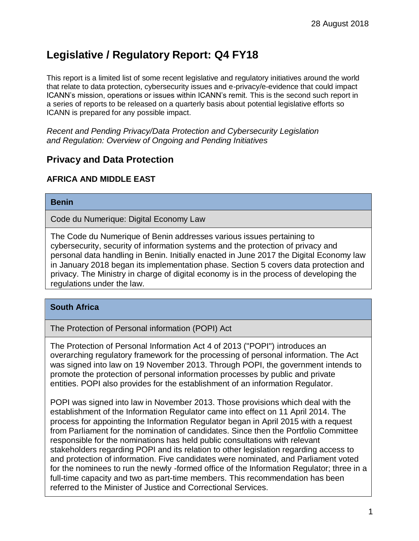# **Legislative / Regulatory Report: Q4 FY18**

This report is a limited list of some recent legislative and regulatory initiatives around the world that relate to data protection, cybersecurity issues and e-privacy/e-evidence that could impact ICANN's mission, operations or issues within ICANN's remit. This is the second such report in a series of reports to be released on a quarterly basis about potential legislative efforts so ICANN is prepared for any possible impact.

*Recent and Pending Privacy/Data Protection and Cybersecurity Legislation and Regulation: Overview of Ongoing and Pending Initiatives*

# **Privacy and Data Protection**

## **AFRICA AND MIDDLE EAST**

#### **Benin**

Code du Numerique: Digital Economy Law

The Code du Numerique of Benin addresses various issues pertaining to cybersecurity, security of information systems and the protection of privacy and personal data handling in Benin. Initially enacted in June 2017 the Digital Economy law in January 2018 began its implementation phase. Section 5 covers data protection and privacy. The Ministry in charge of digital economy is in the process of developing the regulations under the law.

## **South Africa**

The Protection of Personal information (POPI) Act

The Protection of Personal Information Act 4 of 2013 ("POPI") introduces an overarching regulatory framework for the processing of personal information. The Act was signed into law on 19 November 2013. Through POPI, the government intends to promote the protection of personal information processes by public and private entities. POPI also provides for the establishment of an information Regulator.

POPI was signed into law in November 2013. Those provisions which deal with the establishment of the Information Regulator came into effect on 11 April 2014. The process for appointing the Information Regulator began in April 2015 with a request from Parliament for the nomination of candidates. Since then the Portfolio Committee responsible for the nominations has held public consultations with relevant stakeholders regarding POPI and its relation to other legislation regarding access to and protection of information. Five candidates were nominated, and Parliament voted for the nominees to run the newly -formed office of the Information Regulator; three in a full-time capacity and two as part-time members. This recommendation has been referred to the Minister of Justice and Correctional Services.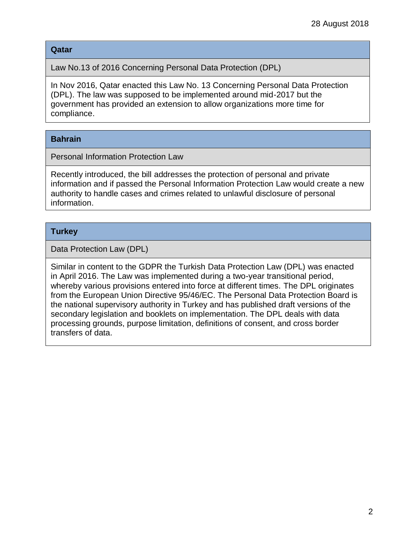#### **Qatar**

Law No.13 of 2016 Concerning Personal Data Protection (DPL)

In Nov 2016, Qatar enacted this Law No. 13 Concerning Personal Data Protection (DPL). The law was supposed to be implemented around mid-2017 but the government has provided an extension to allow organizations more time for compliance.

## **Bahrain**

Personal Information Protection Law

Recently introduced, the bill addresses the protection of personal and private information and if passed the Personal Information Protection Law would create a new authority to handle cases and crimes related to unlawful disclosure of personal information.

## **Turkey**

Data Protection Law (DPL)

Similar in content to the GDPR the Turkish Data Protection Law (DPL) was enacted in April 2016. The Law was implemented during a two-year transitional period, whereby various provisions entered into force at different times. The DPL originates from the European Union Directive 95/46/EC. The Personal Data Protection Board is the national supervisory authority in Turkey and has published draft versions of the secondary legislation and booklets on implementation. The DPL deals with data processing grounds, purpose limitation, definitions of consent, and cross border transfers of data.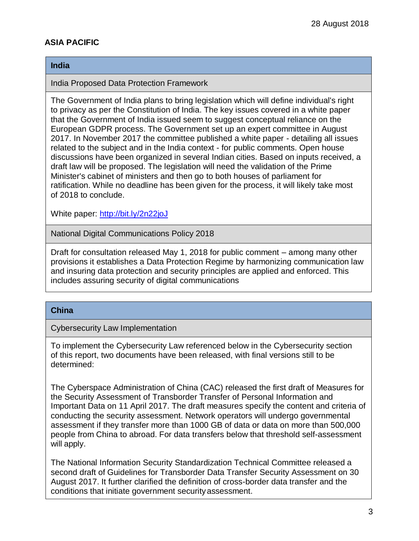# **ASIA PACIFIC**

#### **India**

India Proposed Data Protection Framework

The Government of India plans to bring legislation which will define individual's right to privacy as per the Constitution of India. The key issues covered in a white paper that the Government of India issued seem to suggest conceptual reliance on the European GDPR process. The Government set up an expert committee in August 2017. In November 2017 the committee published a white paper - detailing all issues related to the subject and in the India context - for public comments. Open house discussions have been organized in several Indian cities. Based on inputs received, a draft law will be proposed. The legislation will need the validation of the Prime Minister's cabinet of ministers and then go to both houses of parliament for ratification. While no deadline has been given for the process, it will likely take most of 2018 to conclude.

White paper:<http://bit.ly/2n22joJ>

National Digital Communications Policy 2018

Draft for consultation released May 1, 2018 for public comment – among many other provisions it establishes a Data Protection Regime by harmonizing communication law and insuring data protection and security principles are applied and enforced. This includes assuring security of digital communications

#### **China**

l

Cybersecurity Law Implementation

To implement the Cybersecurity Law referenced below in the Cybersecurity section of this report, two documents have been released, with final versions still to be determined:

1. The Cyberspace Administration of China (CAC) released the first draft of Measures for the Security Assessment of Transborder Transfer of Personal Information and Important Data on 11 April 2017. The draft measures specify the content and criteria of conducting the security assessment. Network operators will undergo governmental assessment if they transfer more than 1000 GB of data or data on more than 500,000 people from China to abroad. For data transfers below that threshold self-assessment will apply.

3. The National Information Security Standardization Technical Committee released a second draft of Guidelines for Transborder Data Transfer Security Assessment on 30 August 2017. It further clarified the definition of cross-border data transfer and the conditions that initiate government securityassessment.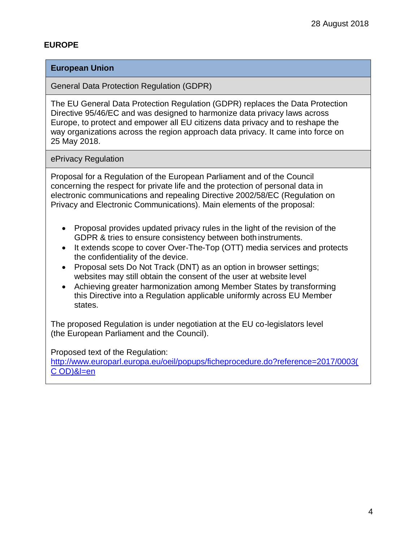### **EUROPE**

#### **European Union**

General Data Protection Regulation (GDPR)

The EU General Data Protection Regulation (GDPR) replaces the Data Protection Directive 95/46/EC and was designed to harmonize data privacy laws across Europe, to protect and empower all EU citizens data privacy and to reshape the way organizations across the region approach data privacy. It came into force on 25 May 2018.

ePrivacy Regulation

Proposal for a Regulation of the European Parliament and of the Council concerning the respect for private life and the protection of personal data in electronic communications and repealing Directive 2002/58/EC (Regulation on Privacy and Electronic Communications). Main elements of the proposal:

- Proposal provides updated privacy rules in the light of the revision of the GDPR & tries to ensure consistency between both instruments.
- It extends scope to cover Over-The-Top (OTT) media services and protects the confidentiality of the device.
- Proposal sets Do Not Track (DNT) as an option in browser settings; websites may still obtain the consent of the user at website level
- Achieving greater harmonization among Member States by transforming this Directive into a Regulation applicable uniformly across EU Member states.

The proposed Regulation is under negotiation at the EU co-legislators level (the European Parliament and the Council).

Proposed text of the Regulation:

http://www.europarl.europa.eu/oeil/popups/ficheprocedure.do?reference=2017/0003( C OD)&l=en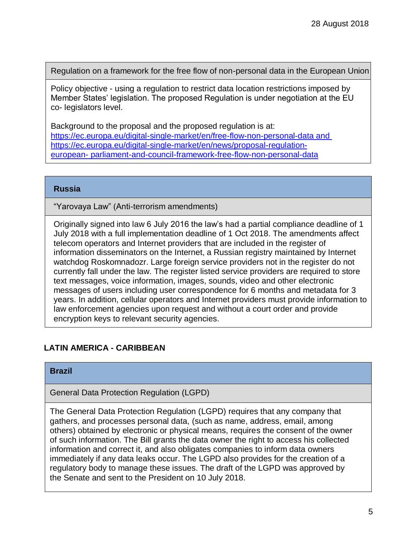Regulation on a framework for the free flow of non-personal data in the European Union

Policy objective - using a regulation to restrict data location restrictions imposed by Member States' legislation. The proposed Regulation is under negotiation at the EU co- legislators level.

Background to the proposal and the proposed regulation is at: <https://ec.europa.eu/digital-single-market/en/free-flow-non-personal-data> and https://ec.europa.eu/digital-single-market/en/news/proposal-regulationeuropean- parliament-and-council-framework-free-flow-non-personal-data

#### **Russia**

"Yarovaya Law" (Anti-terrorism amendments)

Originally signed into law 6 July 2016 the law's had a partial compliance deadline of 1 July 2018 with a full implementation deadline of 1 Oct 2018. The amendments affect telecom operators and Internet providers that are included in the register of information disseminators on the Internet, a Russian registry maintained by Internet watchdog Roskomnadozr. Large foreign service providers not in the register do not currently fall under the law. The register listed service providers are required to store text messages, voice information, images, sounds, video and other electronic messages of users including user correspondence for 6 months and metadata for 3 years. In addition, cellular operators and Internet providers must provide information to law enforcement agencies upon request and without a court order and provide encryption keys to relevant security agencies.

## **LATIN AMERICA - CARIBBEAN**

#### **Brazil**

General Data Protection Regulation (LGPD)

The General Data Protection Regulation (LGPD) requires that any company that gathers, and processes personal data, (such as name, address, email, among others) obtained by electronic or physical means, requires the consent of the owner of such information. The Bill grants the data owner the right to access his collected information and correct it, and also obligates companies to inform data owners immediately if any data leaks occur. The LGPD also provides for the creation of a regulatory body to manage these issues. The draft of the LGPD was approved by the Senate and sent to the President on 10 July 2018.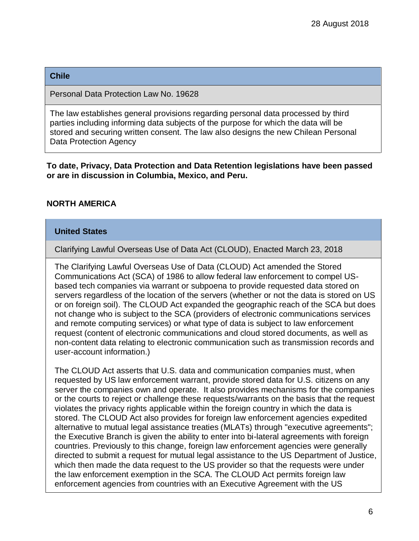#### **Chile**

Personal Data Protection Law No. 19628

The law establishes general provisions regarding personal data processed by third parties including informing data subjects of the purpose for which the data will be stored and securing written consent. The law also designs the new Chilean Personal Data Protection Agency

#### **To date, Privacy, Data Protection and Data Retention legislations have been passed or are in discussion in Columbia, Mexico, and Peru.**

## **NORTH AMERICA**

### **United States**

Clarifying Lawful Overseas Use of Data Act (CLOUD), Enacted March 23, 2018

The Clarifying Lawful Overseas Use of Data (CLOUD) Act amended the Stored Communications Act (SCA) of 1986 to allow federal law enforcement to compel USbased tech companies via warrant or subpoena to provide requested data stored on servers regardless of the location of the servers (whether or not the data is stored on US or on foreign soil). The CLOUD Act expanded the geographic reach of the SCA but does not change who is subject to the SCA (providers of electronic communications services and remote computing services) or what type of data is subject to law enforcement request (content of electronic communications and cloud stored documents, as well as non-content data relating to electronic communication such as transmission records and user-account information.)

The CLOUD Act asserts that U.S. data and communication companies must, when requested by US law enforcement warrant, provide stored data for U.S. citizens on any server the companies own and operate. It also provides mechanisms for the companies or the courts to reject or challenge these requests/warrants on the basis that the request violates the privacy rights applicable within the foreign country in which the data is stored. The CLOUD Act also provides for foreign law enforcement agencies expedited alternative to mutual legal assistance treaties (MLATs) through "executive agreements"; the Executive Branch is given the ability to enter into bi-lateral agreements with foreign countries. Previously to this change, foreign law enforcement agencies were generally directed to submit a request for mutual legal assistance to the US Department of Justice, which then made the data request to the US provider so that the requests were under the law enforcement exemption in the SCA. The CLOUD Act permits foreign law enforcement agencies from countries with an Executive Agreement with the US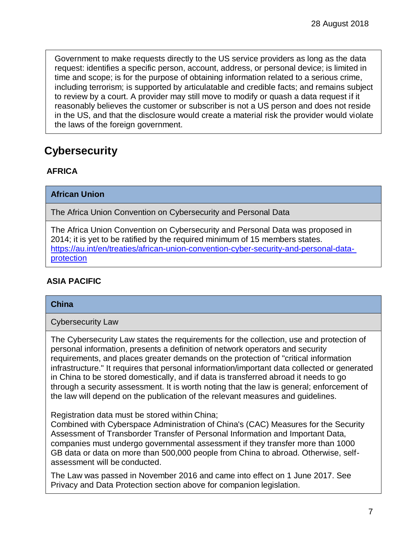Government to make requests directly to the US service providers as long as the data request: identifies a specific person, account, address, or personal device; is limited in time and scope; is for the purpose of obtaining information related to a serious crime, including terrorism; is supported by articulatable and credible facts; and remains subject to review by a court. A provider may still move to modify or quash a data request if it reasonably believes the customer or subscriber is not a US person and does not reside in the US, and that the disclosure would create a material risk the provider would violate the laws of the foreign government.

# **Cybersecurity**

# **AFRICA**

**African Union**

The Africa Union Convention on Cybersecurity and Personal Data

The Africa Union Convention on Cybersecurity and Personal Data was proposed in 2014; it is yet to be ratified by the required minimum of 15 members states. [https://au.int/en/treaties/african-union-convention-cyber-security-and-personal-data](https://au.int/en/treaties/african-union-convention-cyber-security-and-personal-data-protection)[protection](https://au.int/en/treaties/african-union-convention-cyber-security-and-personal-data-protection)

# **ASIA PACIFIC**

## **China**

Cybersecurity Law

The Cybersecurity Law states the requirements for the collection, use and protection of personal information, presents a definition of network operators and security requirements, and places greater demands on the protection of "critical information infrastructure." It requires that personal information/important data collected or generated in China to be stored domestically, and if data is transferred abroad it needs to go through a security assessment. It is worth noting that the law is general; enforcement of the law will depend on the publication of the relevant measures and guidelines.

Registration data must be stored within China;

Combined with Cyberspace Administration of China's (CAC) Measures for the Security Assessment of Transborder Transfer of Personal Information and Important Data, companies must undergo governmental assessment if they transfer more than 1000 GB data or data on more than 500,000 people from China to abroad. Otherwise, selfassessment will be conducted.

The Law was passed in November 2016 and came into effect on 1 June 2017. See Privacy and Data Protection section above for companion legislation.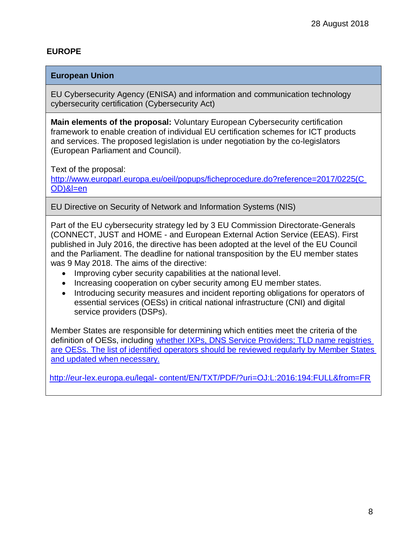## **EUROPE**

### **European Union**

EU Cybersecurity Agency (ENISA) and information and communication technology cybersecurity certification (Cybersecurity Act)

**Main elements of the proposal:** Voluntary European Cybersecurity certification framework to enable creation of individual EU certification schemes for ICT products and services. The proposed legislation is under negotiation by the co-legislators (European Parliament and Council).

Text of the proposal:

http://www.europarl.europa.eu/oeil/popups/ficheprocedure.do?reference=2017/0225(C OD)&l=en

EU Directive on Security of Network and Information Systems (NIS)

Part of the EU cybersecurity strategy led by 3 EU Commission Directorate-Generals (CONNECT, JUST and HOME - and European External Action Service (EEAS). First published in July 2016, the directive has been adopted at the level of the EU Council and the Parliament. The deadline for national transposition by the EU member states was 9 May 2018. The aims of the directive:

- Improving cyber security capabilities at the national level.
- Increasing cooperation on cyber security among EU member states.
- Introducing security measures and incident reporting obligations for operators of essential services (OESs) in critical national infrastructure (CNI) and digital service providers (DSPs).

Member States are responsible for determining which entities meet the criteria of the definition of OESs, including whether IXPs, DNS Service Providers; TLD name registries are OESs. The list of identified operators should be reviewed regularly by Member States and updated when necessary.

[http://eur-lex.europa.eu/legal-](http://eur-lex.europa.eu/legal-content/EN/TXT/PDF/?uri=OJ%3AL%3A2016%3A194%3AFULL&from=FR) [content/EN/TXT/PDF/?uri=OJ:L:2016:194:FULL&from=FR](http://eur-lex.europa.eu/legal-content/EN/TXT/PDF/?uri=OJ%3AL%3A2016%3A194%3AFULL&from=FR)